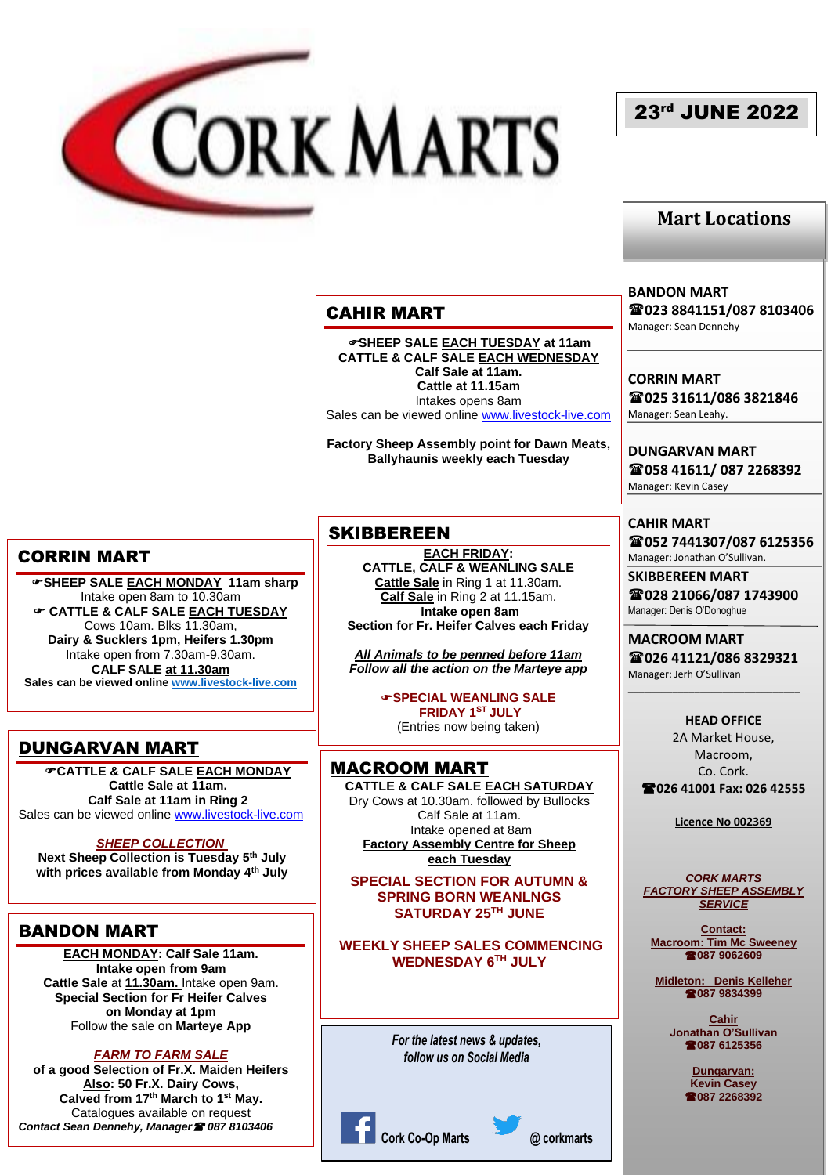

# 23rd JUNE 2022

## **Mart Locations**

## CAHIR MART

**SHEEP SALE EACH TUESDAY at 11am CATTLE & CALF SALE EACH WEDNESDAY Calf Sale at 11am. Cattle at 11.15am** Intakes opens 8am Sales can be viewed online [www.livestock-live.com](http://www.livestock-live.com/)

**Factory Sheep Assembly point for Dawn Meats, Ballyhaunis weekly each Tuesday**

### **SKIBBEREEN**

**EACH FRIDAY: CATTLE, CALF & WEANLING SALE Cattle Sale** in Ring 1 at 11.30am. **Calf Sale** in Ring 2 at 11.15am. **Intake open 8am Section for Fr. Heifer Calves each Friday**

*All Animals to be penned before 11am Follow all the action on the Marteye app*

> **SPECIAL WEANLING SALE FRIDAY 1ST JULY** (Entries now being taken)

MACROOM MART **CATTLE & CALF SALE EACH SATURDAY** Dry Cows at 10.30am. followed by Bullocks Calf Sale at 11am. Intake opened at 8am **Factory Assembly Centre for Sheep each Tuesday**

**SPECIAL SECTION FOR AUTUMN & SPRING BORN WEANLNGS SATURDAY 25TH JUNE**

**WEEKLY SHEEP SALES COMMENCING WEDNESDAY 6TH JULY**

> *For the latest news & updates, follow us on Social Media*



**BANDON MART**

**023 8841151/087 8103406** Manager: Sean Dennehy

**CORRIN MART 025 31611/086 3821846** Manager: Sean Leahy.

**DUNGARVAN MART 058 41611/ 087 2268392** Manager: Kevin Casey

**CAHIR MART 052 7441307/087 6125356** Manager: Jonathan O'Sullivan.

**SKIBBEREEN MART 028 21066/087 1743900** Manager: Denis O'Donoghue

**MACROOM MART 026 41121/086 8329321** Manager: Jerh O'Sullivan

\_\_\_\_\_\_\_\_\_\_\_\_\_\_\_\_\_\_\_\_\_\_\_\_\_\_\_\_\_\_\_

**HEAD OFFICE** 2A Market House, Macroom, Co. Cork. **026 41001 Fax: 026 42555**

**Licence No 002369**

*CORK MARTS FACTORY SHEEP ASSEMBLY SERVICE*

**Contact: Macroom: Tim Mc Sweeney 087 9062609**

**Midleton: Denis Kelleher 087 9834399**

> **Cahir Jonathan O'Sullivan 087 6125356**

> > **Dungarvan: Kevin Casey 087 2268392**

### CORRIN MART

 **SHEEP SALE EACH MONDAY 11am sharp** Intake open 8am to 10.30am **CATTLE & CALF SALE EACH TUESDAY** Cows 10am. Blks 11.30am, **Dairy & Sucklers 1pm, Heifers 1.30pm** Intake open from 7.30am-9.30am. **CALF SALE at 11.30am Sales can be viewed online [www.livestock-live.com](http://www.livestock-live.com/)**

## DUNGARVAN MART

**CATTLE & CALF SALE EACH MONDAY Cattle Sale at 11am. Calf Sale at 11am in Ring 2** Sales can be viewed online [www.livestock-live.com](http://www.livestock-live.com/)

#### *SHEEP COLLECTION*

**Next Sheep Collection is Tuesday 5 th July with prices available from Monday 4 th July**

### BANDON MART

**EACH MONDAY: Calf Sale 11am. Intake open from 9am Cattle Sale** at **11.30am.** Intake open 9am. **Special Section for Fr Heifer Calves on Monday at 1pm** Follow the sale on **Marteye App**

*FARM TO FARM SALE* 

**of a good Selection of Fr.X. Maiden Heifers Also: 50 Fr.X. Dairy Cows, Calved from 17th March to 1st May.** Catalogues available on request *Contact Sean Dennehy, Manager 087 8103406*